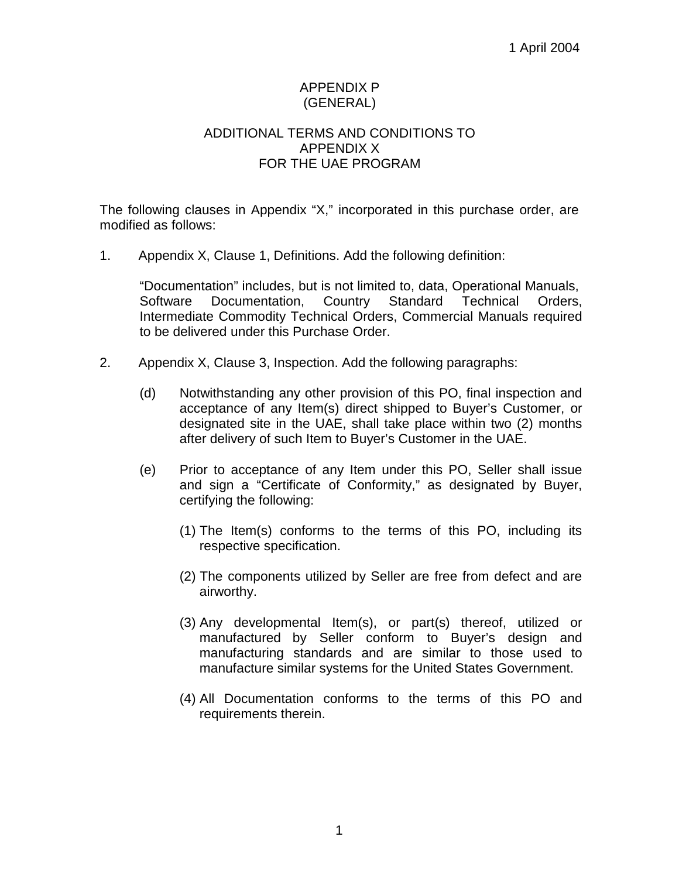## APPENDIX P (GENERAL)

## ADDITIONAL TERMS AND CONDITIONS TO APPENDIX X FOR THE UAE PROGRAM

The following clauses in Appendix "X," incorporated in this purchase order, are modified as follows:

1. Appendix X, Clause 1, Definitions. Add the following definition:

"Documentation" includes, but is not limited to, data, Operational Manuals, Software Documentation, Country Standard Technical Orders, Intermediate Commodity Technical Orders, Commercial Manuals required to be delivered under this Purchase Order.

- 2. Appendix X, Clause 3, Inspection. Add the following paragraphs:
	- (d) Notwithstanding any other provision of this PO, final inspection and acceptance of any Item(s) direct shipped to Buyer's Customer, or designated site in the UAE, shall take place within two (2) months after delivery of such Item to Buyer's Customer in the UAE.
	- (e) Prior to acceptance of any Item under this PO, Seller shall issue and sign a "Certificate of Conformity," as designated by Buyer, certifying the following:
		- (1) The Item(s) conforms to the terms of this PO, including its respective specification.
		- (2) The components utilized by Seller are free from defect and are airworthy.
		- (3) Any developmental Item(s), or part(s) thereof, utilized or manufactured by Seller conform to Buyer's design and manufacturing standards and are similar to those used to manufacture similar systems for the United States Government.
		- (4) All Documentation conforms to the terms of this PO and requirements therein.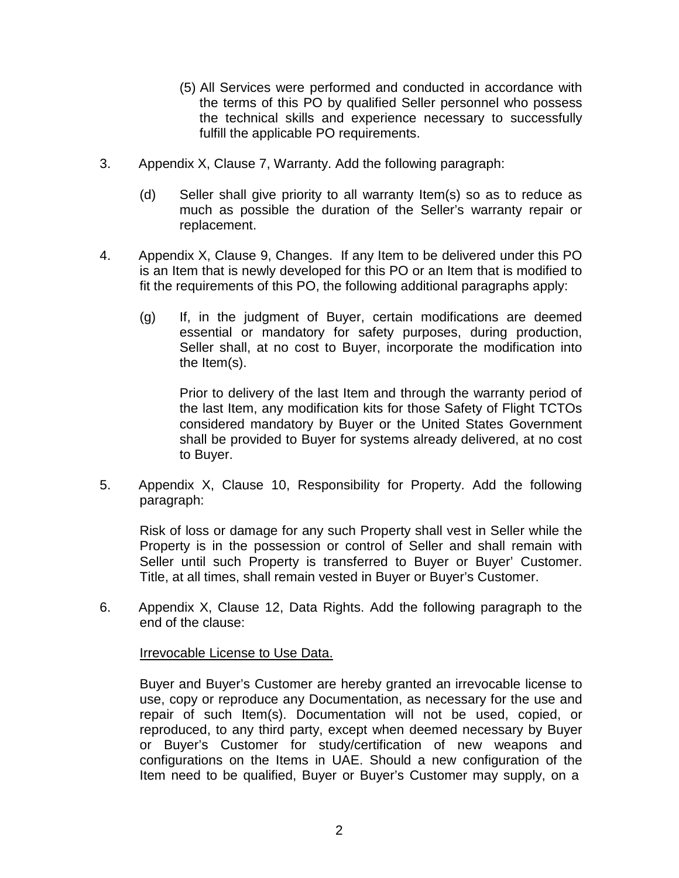- (5) All Services were performed and conducted in accordance with the terms of this PO by qualified Seller personnel who possess the technical skills and experience necessary to successfully fulfill the applicable PO requirements.
- 3. Appendix X, Clause 7, Warranty. Add the following paragraph:
	- (d) Seller shall give priority to all warranty Item(s) so as to reduce as much as possible the duration of the Seller's warranty repair or replacement.
- 4. Appendix X, Clause 9, Changes. If any Item to be delivered under this PO is an Item that is newly developed for this PO or an Item that is modified to fit the requirements of this PO, the following additional paragraphs apply:
	- (g) If, in the judgment of Buyer, certain modifications are deemed essential or mandatory for safety purposes, during production, Seller shall, at no cost to Buyer, incorporate the modification into the Item(s).

Prior to delivery of the last Item and through the warranty period of the last Item, any modification kits for those Safety of Flight TCTOs considered mandatory by Buyer or the United States Government shall be provided to Buyer for systems already delivered, at no cost to Buyer.

5. Appendix X, Clause 10, Responsibility for Property. Add the following paragraph:

Risk of loss or damage for any such Property shall vest in Seller while the Property is in the possession or control of Seller and shall remain with Seller until such Property is transferred to Buyer or Buyer' Customer. Title, at all times, shall remain vested in Buyer or Buyer's Customer.

6. Appendix X, Clause 12, Data Rights. Add the following paragraph to the end of the clause:

**Irrevocable License to Use Data.** 

Buyer and Buyer's Customer are hereby granted an irrevocable license to use, copy or reproduce any Documentation, as necessary for the use and repair of such Item(s). Documentation will not be used, copied, or reproduced, to any third party, except when deemed necessary by Buyer or Buyer's Customer for study/certification of new weapons and configurations on the Items in UAE. Should a new configuration of the Item need to be qualified, Buyer or Buyer's Customer may supply, on a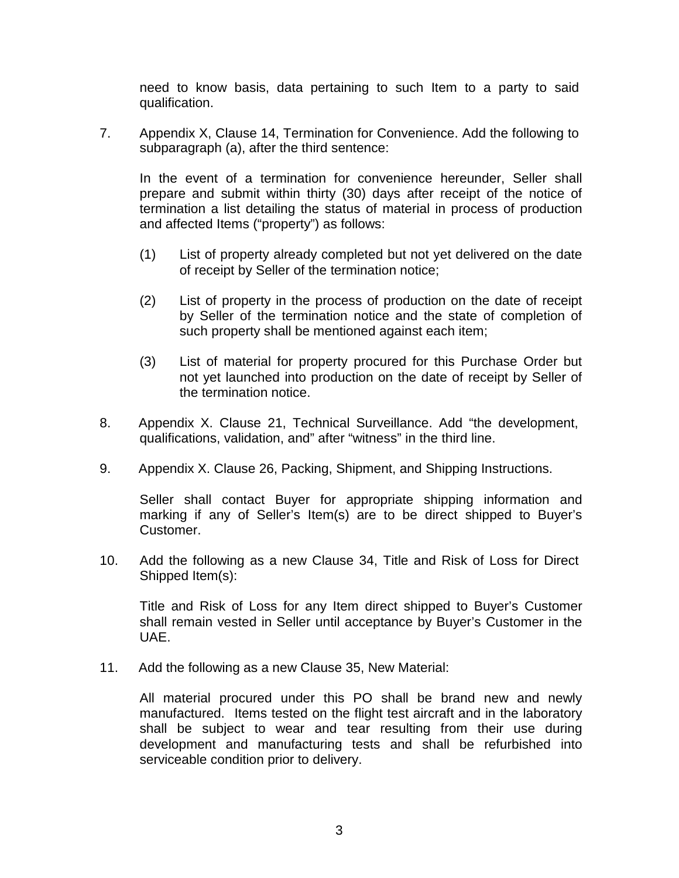need to know basis, data pertaining to such Item to a party to said qualification.

7. Appendix X, Clause 14, Termination for Convenience. Add the following to subparagraph (a), after the third sentence:

In the event of a termination for convenience hereunder, Seller shall prepare and submit within thirty (30) days after receipt of the notice of termination a list detailing the status of material in process of production and affected Items ("property") as follows:

- (1) List of property already completed but not yet delivered on the date of receipt by Seller of the termination notice;
- (2) List of property in the process of production on the date of receipt by Seller of the termination notice and the state of completion of such property shall be mentioned against each item;
- (3) List of material for property procured for this Purchase Order but not yet launched into production on the date of receipt by Seller of the termination notice.
- 8. Appendix X. Clause 21, Technical Surveillance. Add "the development, qualifications, validation, and" after "witness" in the third line.
- 9. Appendix X. Clause 26, Packing, Shipment, and Shipping Instructions.

Seller shall contact Buyer for appropriate shipping information and marking if any of Seller's Item(s) are to be direct shipped to Buyer's Customer.

10. Add the following as a new Clause 34, Title and Risk of Loss for Direct Shipped Item(s):

Title and Risk of Loss for any Item direct shipped to Buyer's Customer shall remain vested in Seller until acceptance by Buyer's Customer in the UAE.

11. Add the following as a new Clause 35, New Material:

All material procured under this PO shall be brand new and newly manufactured. Items tested on the flight test aircraft and in the laboratory shall be subject to wear and tear resulting from their use during development and manufacturing tests and shall be refurbished into serviceable condition prior to delivery.